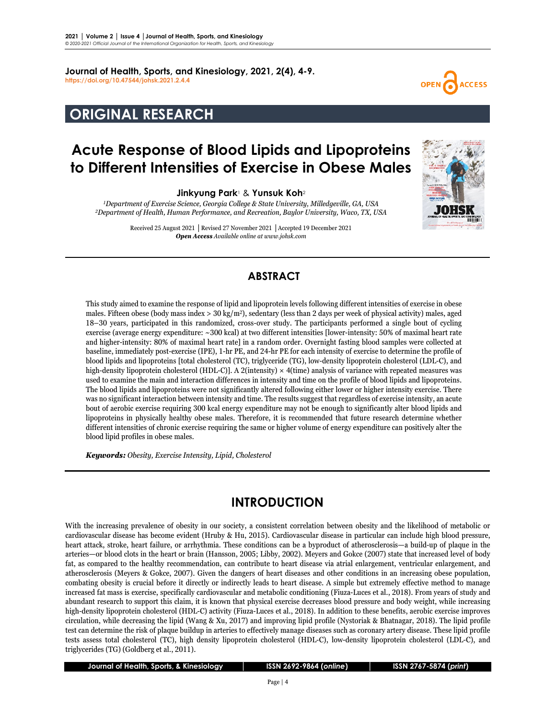**Journal of Health, Sports, and Kinesiology, 2021, 2(4), 4-9. <https://doi.org/10.47544/johsk.2021.2.4.4>**

# **ORIGINAL RESEARCH**

# **Acute Response of Blood Lipids and Lipoproteins to Different Intensities of Exercise in Obese Males**

**Jinkyung Park**<sup>1</sup> & **Yunsuk Koh**<sup>2</sup>

*1Department of Exercise Science, Georgia College & State University, Milledgeville, GA, USA 2Department of Health, Human Performance, and Recreation, Baylor University, Waco, TX, USA*

> Received 25 August 2021 **│**Revised 27 November 2021 **│**Accepted 19 December 2021 *Open Access Available online at www.johsk.com*



**CCESS** 

### **ABSTRACT**

This study aimed to examine the response of lipid and lipoprotein levels following different intensities of exercise in obese males. Fifteen obese (body mass index  $> 30 \text{ kg/m}^2$ ), sedentary (less than 2 days per week of physical activity) males, aged 18–30 years, participated in this randomized, cross-over study. The participants performed a single bout of cycling exercise (average energy expenditure: ~300 kcal) at two different intensities [lower-intensity: 50% of maximal heart rate and higher-intensity: 80% of maximal heart rate] in a random order. Overnight fasting blood samples were collected at baseline, immediately post-exercise (IPE), 1-hr PE, and 24-hr PE for each intensity of exercise to determine the profile of blood lipids and lipoproteins [total cholesterol (TC), triglyceride (TG), low-density lipoprotein cholesterol (LDL-C), and high-density lipoprotein cholesterol (HDL-C)]. A 2(intensity)  $\times$  4(time) analysis of variance with repeated measures was used to examine the main and interaction differences in intensity and time on the profile of blood lipids and lipoproteins. The blood lipids and lipoproteins were not significantly altered following either lower or higher intensity exercise. There was no significant interaction between intensity and time. The results suggest that regardless of exercise intensity, an acute bout of aerobic exercise requiring 300 kcal energy expenditure may not be enough to significantly alter blood lipids and lipoproteins in physically healthy obese males. Therefore, it is recommended that future research determine whether different intensities of chronic exercise requiring the same or higher volume of energy expenditure can positively alter the blood lipid profiles in obese males.

*Keywords: Obesity, Exercise Intensity, Lipid, Cholesterol*

### **INTRODUCTION**

With the increasing prevalence of obesity in our society, a consistent correlation between obesity and the likelihood of metabolic or cardiovascular disease has become evident (Hruby & Hu, 2015). Cardiovascular disease in particular can include high blood pressure, heart attack, stroke, heart failure, or arrhythmia. These conditions can be a byproduct of atherosclerosis—a build-up of plaque in the arteries—or blood clots in the heart or brain (Hansson, 2005; Libby, 2002). Meyers and Gokce (2007) state that increased level of body fat, as compared to the healthy recommendation, can contribute to heart disease via atrial enlargement, ventricular enlargement, and atherosclerosis (Meyers & Gokce, 2007). Given the dangers of heart diseases and other conditions in an increasing obese population, combating obesity is crucial before it directly or indirectly leads to heart disease. A simple but extremely effective method to manage increased fat mass is exercise, specifically cardiovascular and metabolic conditioning (Fiuza-Luces et al., 2018). From years of study and abundant research to support this claim, it is known that physical exercise decreases blood pressure and body weight, while increasing high-density lipoprotein cholesterol (HDL-C) activity (Fiuza-Luces et al., 2018). In addition to these benefits, aerobic exercise improves circulation, while decreasing the lipid (Wang & Xu, 2017) and improving lipid profile (Nystoriak & Bhatnagar, 2018). The lipid profile test can determine the risk of plaque buildup in arteries to effectively manage diseases such as coronary artery disease. These lipid profile tests assess total cholesterol (TC), high density lipoprotein cholesterol (HDL-C), low-density lipoprotein cholesterol (LDL-C), and triglycerides (TG) (Goldberg et al., 2011).

 **Journal of Health, Sports, & Kinesiology │ ISSN 2692-9864 (***online***) │ ISSN 2767-5874 (***print***)**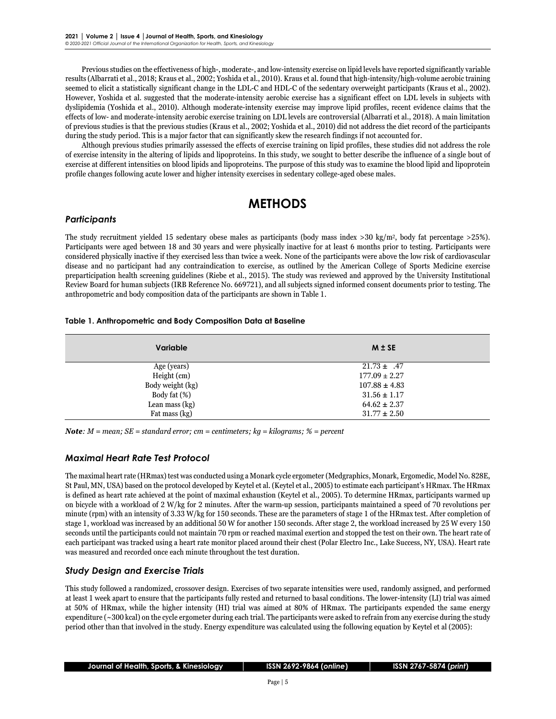Previous studies on the effectiveness of high-, moderate-, and low-intensity exercise on lipid levels have reported significantly variable results (Albarrati et al., 2018; Kraus et al., 2002; Yoshida et al., 2010). Kraus et al. found that high-intensity/high-volume aerobic training seemed to elicit a statistically significant change in the LDL-C and HDL-C of the sedentary overweight participants (Kraus et al., 2002). However, Yoshida et al. suggested that the moderate-intensity aerobic exercise has a significant effect on LDL levels in subjects with dyslipidemia (Yoshida et al., 2010). Although moderate-intensity exercise may improve lipid profiles, recent evidence claims that the effects of low- and moderate-intensity aerobic exercise training on LDL levels are controversial (Albarrati et al., 2018). A main limitation of previous studies is that the previous studies (Kraus et al., 2002; Yoshida et al., 2010) did not address the diet record of the participants during the study period. This is a major factor that can significantly skew the research findings if not accounted for.

Although previous studies primarily assessed the effects of exercise training on lipid profiles, these studies did not address the role of exercise intensity in the altering of lipids and lipoproteins. In this study, we sought to better describe the influence of a single bout of exercise at different intensities on blood lipids and lipoproteins. The purpose of this study was to examine the blood lipid and lipoprotein profile changes following acute lower and higher intensity exercises in sedentary college-aged obese males.

## **METHODS**

#### *Participants*

The study recruitment yielded 15 sedentary obese males as participants (body mass index  $>$ 30 kg/m<sup>2</sup>, body fat percentage  $>$ 25%). Participants were aged between 18 and 30 years and were physically inactive for at least 6 months prior to testing. Participants were considered physically inactive if they exercised less than twice a week. None of the participants were above the low risk of cardiovascular disease and no participant had any contraindication to exercise, as outlined by the American College of Sports Medicine exercise preparticipation health screening guidelines (Riebe et al., 2015). The study was reviewed and approved by the University Institutional Review Board for human subjects (IRB Reference No. 669721), and all subjects signed informed consent documents prior to testing. The anthropometric and body composition data of the participants are shown in Table 1.

#### **Table 1. Anthropometric and Body Composition Data at Baseline**

| Variable         | $M \pm SE$        |
|------------------|-------------------|
| Age (years)      | $21.73 \pm .47$   |
| Height (cm)      | $177.09 \pm 2.27$ |
| Body weight (kg) | $107.88 \pm 4.83$ |
| Body fat (%)     | $31.56 \pm 1.17$  |
| Lean mass (kg)   | $64.62 \pm 2.37$  |
| Fat mass (kg)    | $31.77 \pm 2.50$  |

*Note: M = mean; SE = standard error; cm = centimeters; kg = kilograms; % = percent*

#### *Maximal Heart Rate Test Protocol*

The maximal heart rate (HRmax) test was conducted using a Monark cycle ergometer (Medgraphics, Monark, Ergomedic, Model No. 828E, St Paul, MN, USA) based on the protocol developed by Keytel et al. (Keytel et al., 2005) to estimate each participant's HRmax. The HRmax is defined as heart rate achieved at the point of maximal exhaustion (Keytel et al., 2005). To determine HRmax, participants warmed up on bicycle with a workload of 2 W/kg for 2 minutes. After the warm-up session, participants maintained a speed of 70 revolutions per minute (rpm) with an intensity of 3.33 W/kg for 150 seconds. These are the parameters of stage 1 of the HRmax test. After completion of stage 1, workload was increased by an additional 50 W for another 150 seconds. After stage 2, the workload increased by 25 W every 150 seconds until the participants could not maintain 70 rpm or reached maximal exertion and stopped the test on their own. The heart rate of each participant was tracked using a heart rate monitor placed around their chest (Polar Electro Inc., Lake Success, NY, USA). Heart rate was measured and recorded once each minute throughout the test duration.

### *Study Design and Exercise Trials*

This study followed a randomized, crossover design. Exercises of two separate intensities were used, randomly assigned, and performed at least 1 week apart to ensure that the participants fully rested and returned to basal conditions. The lower-intensity (LI) trial was aimed at 50% of HRmax, while the higher intensity (HI) trial was aimed at 80% of HRmax. The participants expended the same energy expenditure (~300 kcal) on the cycle ergometer during each trial. The participants were asked to refrain from any exercise during the study period other than that involved in the study. Energy expenditure was calculated using the following equation by Keytel et al (2005):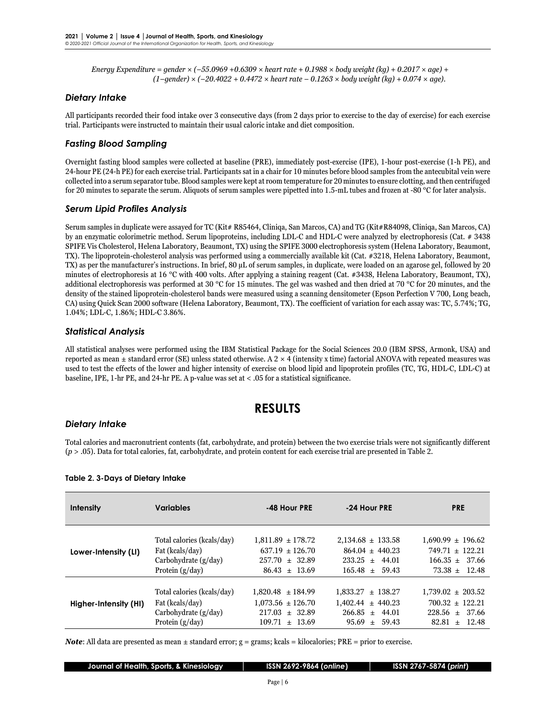*Energy Expenditure = gender × (−55.0969 +0.6309 × heart rate + 0.1988 × body weight (kg) + 0.2017 × age) + (1−gender) × (−20.4022 + 0.4472 × heart rate − 0.1263 × body weight (kg) + 0.074 × age).* 

#### *Dietary Intake*

All participants recorded their food intake over 3 consecutive days (from 2 days prior to exercise to the day of exercise) for each exercise trial. Participants were instructed to maintain their usual caloric intake and diet composition.

#### *Fasting Blood Sampling*

Overnight fasting blood samples were collected at baseline (PRE), immediately post-exercise (IPE), 1-hour post-exercise (1-h PE), and 24-hour PE (24-h PE) for each exercise trial. Participants sat in a chair for 10 minutes before blood samples from the antecubital vein were collected into a serum separator tube. Blood samples were kept at room temperature for 20 minutes to ensure clotting, and then centrifuged for 20 minutes to separate the serum. Aliquots of serum samples were pipetted into 1.5-mL tubes and frozen at -80 °C for later analysis.

#### *Serum Lipid Profiles Analysis*

Serum samples in duplicate were assayed for TC (Kit# R85464, Cliniqa, San Marcos, CA) and TG (Kit#R84098, Cliniqa, San Marcos, CA) by an enzymatic colorimetric method. Serum lipoproteins, including LDL-C and HDL-C were analyzed by electrophoresis (Cat. # 3438 SPIFE Vis Cholesterol, Helena Laboratory, Beaumont, TX) using the SPIFE 3000 electrophoresis system (Helena Laboratory, Beaumont, TX). The lipoprotein-cholesterol analysis was performed using a commercially available kit (Cat. #3218, Helena Laboratory, Beaumont, TX) as per the manufacturer's instructions. In brief, 80 μL of serum samples, in duplicate, were loaded on an agarose gel, followed by 20 minutes of electrophoresis at 16 °C with 400 volts. After applying a staining reagent (Cat. #3438, Helena Laboratory, Beaumont, TX), additional electrophoresis was performed at 30 °C for 15 minutes. The gel was washed and then dried at 70 °C for 20 minutes, and the density of the stained lipoprotein-cholesterol bands were measured using a scanning densitometer (Epson Perfection V 700, Long beach, CA) using Quick Scan 2000 software (Helena Laboratory, Beaumont, TX). The coefficient of variation for each assay was: TC, 5.74%; TG, 1.04%; LDL-C, 1.86%; HDL-C 3.86%.

#### *Statistical Analysis*

All statistical analyses were performed using the IBM Statistical Package for the Social Sciences 20.0 (IBM SPSS, Armonk, USA) and reported as mean  $\pm$  standard error (SE) unless stated otherwise. A 2  $\times$  4 (intensity x time) factorial ANOVA with repeated measures was used to test the effects of the lower and higher intensity of exercise on blood lipid and lipoprotein profiles (TC, TG, HDL-C, LDL-C) at baseline, IPE, 1-hr PE, and 24-hr PE. A p-value was set at < .05 for a statistical significance.

### **RESULTS**

#### *Dietary Intake*

Total calories and macronutrient contents (fat, carbohydrate, and protein) between the two exercise trials were not significantly different (*p* > .05). Data for total calories, fat, carbohydrate, and protein content for each exercise trial are presented in Table 2.

| <b>Intensity</b>      | <b>Variables</b>                                                                             | -48 Hour PRE                                                                               | -24 Hour PRE                                                                                 | <b>PRE</b>                                                                              |
|-----------------------|----------------------------------------------------------------------------------------------|--------------------------------------------------------------------------------------------|----------------------------------------------------------------------------------------------|-----------------------------------------------------------------------------------------|
| Lower-Intensity (LI)  | Total calories (kcals/day)<br>Fat (kcals/day)<br>Carbohydrate $(g/day)$<br>Protein $(g/day)$ | $1,811.89 \pm 178.72$<br>$637.19 \pm 126.70$<br>$257.70 \pm 32.89$<br>$86.43 \pm 13.69$    | $2,134.68 \pm 133.58$<br>$864.04 \pm 440.23$<br>$233.25 \pm 44.01$<br>$165.48 \pm 59.43$     | $1.690.99 \pm 196.62$<br>$749.71 \pm 122.21$<br>$166.35 \pm 37.66$<br>$73.38 \pm 12.48$ |
| Higher-Intensity (HI) | Total calories (kcals/day)<br>Fat (kcals/day)<br>Carbohydrate $(g/day)$<br>Protein $(g/day)$ | $1.820.48 \pm 184.99$<br>$1,073.56 \pm 126.70$<br>$217.03 \pm 32.89$<br>$109.71 \pm 13.69$ | $1.833.27 \pm 138.27$<br>$1.402.44 \pm 440.23$<br>$266.85 \pm$<br>44.01<br>$95.69 \pm 59.43$ | $1,739.02 \pm 203.52$<br>$700.32 \pm 122.21$<br>$228.56 \pm 37.66$<br>$82.81 \pm 12.48$ |

#### **Table 2. 3-Days of Dietary Intake**

*Note*: All data are presented as mean  $\pm$  standard error; g = grams; kcals = kilocalories; PRE = prior to exercise.

|  |  |  |  |  | Iournal of Health, Sports, & Kinesiology |  |
|--|--|--|--|--|------------------------------------------|--|
|--|--|--|--|--|------------------------------------------|--|

 **Journal of Health, Sports, & Kinesiology │ ISSN 2692-9864 (***online***) │ ISSN 2767-5874 (***print***)**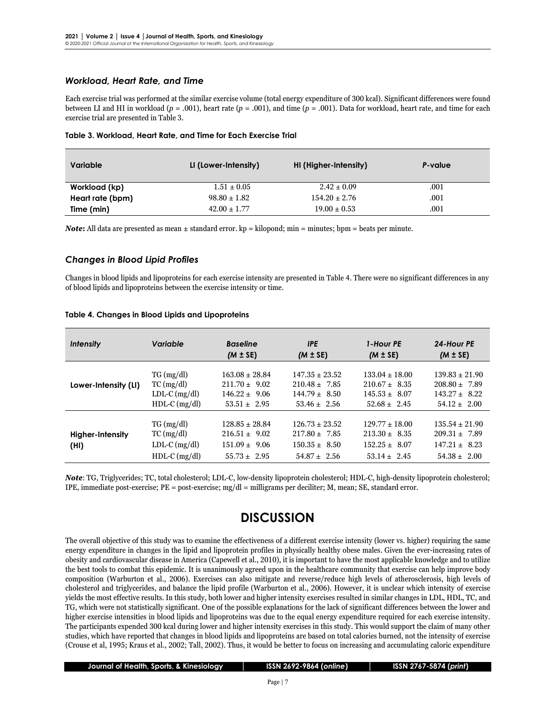#### *Workload, Heart Rate, and Time*

Each exercise trial was performed at the similar exercise volume (total energy expenditure of 300 kcal). Significant differences were found between LI and HI in workload (*p* = .001), heart rate (*p* = .001), and time (*p* = .001). Data for workload, heart rate, and time for each exercise trial are presented in Table 3.

| Variable         | LI (Lower-Intensity) | HI (Higher-Intensity) | P-value |
|------------------|----------------------|-----------------------|---------|
| Workload (kp)    | $1.51 \pm 0.05$      | $2.42 \pm 0.09$       | .001    |
| Heart rate (bpm) | $98.80 \pm 1.82$     | $154.20 \pm 2.76$     | .001    |
| Time (min)       | $42.00 \pm 1.77$     | $19.00 \pm 0.53$      | .001    |

|  |  |  |  |  | Table 3. Workload, Heart Rate, and Time for Each Exercise Trial |
|--|--|--|--|--|-----------------------------------------------------------------|
|--|--|--|--|--|-----------------------------------------------------------------|

*Note*: All data are presented as mean  $\pm$  standard error. kp = kilopond; min = minutes; bpm = beats per minute.

#### *Changes in Blood Lipid Profiles*

Changes in blood lipids and lipoproteins for each exercise intensity are presented in Table 4. There were no significant differences in any of blood lipids and lipoproteins between the exercise intensity or time.

| Table 4. Changes in Blood Lipids and Lipoproteins |
|---------------------------------------------------|
|---------------------------------------------------|

| <b>Intensity</b>         | Variable                                                                           | <b>Baseline</b><br>$(M \pm SE)$                                                  | <b>IPE</b><br>$(M \pm SE)$                                                       | 1-Hour PE<br>$(M \pm SE)$                                                        | 24-Hour PE<br>$(M \pm SE)$                                                       |
|--------------------------|------------------------------------------------------------------------------------|----------------------------------------------------------------------------------|----------------------------------------------------------------------------------|----------------------------------------------------------------------------------|----------------------------------------------------------------------------------|
| Lower-Intensity (LI)     | $TG \, (mg/dl)$<br>$TC \left( mg/dl \right)$<br>$LDL-C$ (mg/dl)<br>$HDL-C$ (mg/dl) | $163.08 \pm 28.84$<br>$211.70 \pm 9.02$<br>$146.22 \pm 9.06$<br>$53.51 \pm 2.95$ | $147.35 \pm 23.52$<br>$210.48 \pm 7.85$<br>$144.79 \pm 8.50$<br>$53.46 \pm 2.56$ | $133.04 \pm 18.00$<br>$210.67 \pm 8.35$<br>$145.53 \pm 8.07$<br>$52.68 \pm 2.45$ | $139.83 \pm 21.90$<br>$208.80 \pm 7.89$<br>$143.27 \pm 8.22$<br>$54.12 \pm 2.00$ |
| Higher-Intensity<br>(HI) | $TG \, (mg/dl)$<br>$TC$ (mg/dl)<br>$LDL-C$ (mg/dl)<br>$HDL-C$ (mg/dl)              | $128.85 \pm 28.84$<br>$216.51 \pm 9.02$<br>$151.09 \pm 9.06$<br>$55.73 \pm 2.95$ | $126.73 \pm 23.52$<br>$217.80 \pm 7.85$<br>$150.35 \pm 8.50$<br>$54.87 \pm 2.56$ | $129.77 \pm 18.00$<br>$213.30 \pm 8.35$<br>$152.25 \pm 8.07$<br>$53.14 \pm 2.45$ | $135.54 \pm 21.90$<br>$209.31 \pm 7.89$<br>$147.21 \pm 8.23$<br>$54.38 \pm 2.00$ |

*Note*: TG, Triglycerides; TC, total cholesterol; LDL-C, low-density lipoprotein cholesterol; HDL-C, high-density lipoprotein cholesterol; IPE, immediate post-exercise;  $PE = post-exercise$ ;  $mg/dl =$  milligrams per deciliter; M, mean; SE, standard error.

### **DISCUSSION**

The overall objective of this study was to examine the effectiveness of a different exercise intensity (lower vs. higher) requiring the same energy expenditure in changes in the lipid and lipoprotein profiles in physically healthy obese males. Given the ever-increasing rates of obesity and cardiovascular disease in America (Capewell et al., 2010), it is important to have the most applicable knowledge and to utilize the best tools to combat this epidemic. It is unanimously agreed upon in the healthcare community that exercise can help improve body composition (Warburton et al., 2006). Exercises can also mitigate and reverse/reduce high levels of atherosclerosis, high levels of cholesterol and triglycerides, and balance the lipid profile (Warburton et al., 2006). However, it is unclear which intensity of exercise yields the most effective results. In this study, both lower and higher intensity exercises resulted in similar changes in LDL, HDL, TC, and TG, which were not statistically significant. One of the possible explanations for the lack of significant differences between the lower and higher exercise intensities in blood lipids and lipoproteins was due to the equal energy expenditure required for each exercise intensity. The participants expended 300 kcal during lower and higher intensity exercises in this study. This would support the claim of many other studies, which have reported that changes in blood lipids and lipoproteins are based on total calories burned, not the intensity of exercise (Crouse et al, 1995; Kraus et al., 2002; Tall, 2002). Thus, it would be better to focus on increasing and accumulating caloric expenditure

 **Journal of Health, Sports, & Kinesiology │ ISSN 2692-9864 (***online***) │ ISSN 2767-5874 (***print***)**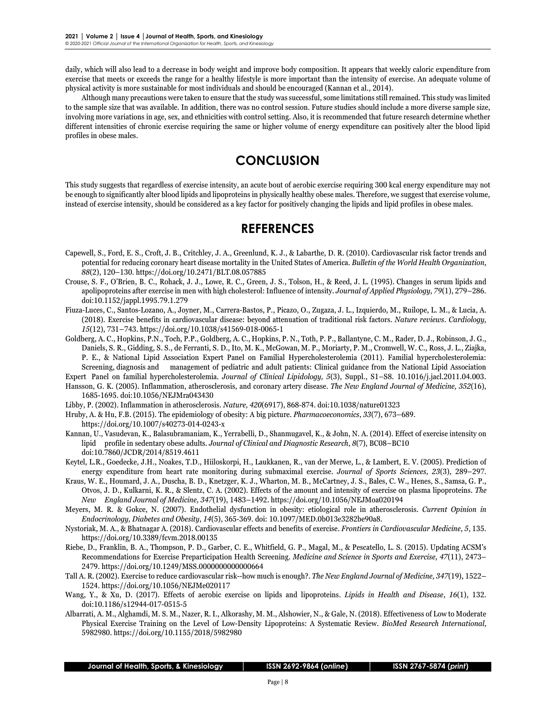daily, which will also lead to a decrease in body weight and improve body composition. It appears that weekly caloric expenditure from exercise that meets or exceeds the range for a healthy lifestyle is more important than the intensity of exercise. An adequate volume of physical activity is more sustainable for most individuals and should be encouraged (Kannan et al., 2014).

Although many precautions were taken to ensure that the study was successful, some limitations still remained. This study waslimited to the sample size that was available. In addition, there was no control session. Future studies should include a more diverse sample size, involving more variations in age, sex, and ethnicities with control setting. Also, it is recommended that future research determine whether different intensities of chronic exercise requiring the same or higher volume of energy expenditure can positively alter the blood lipid profiles in obese males.

### **CONCLUSION**

This study suggests that regardless of exercise intensity, an acute bout of aerobic exercise requiring 300 kcal energy expenditure may not be enough to significantly alter blood lipids and lipoproteins in physically healthy obese males. Therefore, we suggest that exercise volume, instead of exercise intensity, should be considered as a key factor for positively changing the lipids and lipid profiles in obese males.

### **REFERENCES**

- Capewell, S., Ford, E. S., Croft, J. B., Critchley, J. A., Greenlund, K. J., & Labarthe, D. R. (2010). Cardiovascular risk factor trends and potential for reducing coronary heart disease mortality in the United States of America. *Bulletin of the World Health Organization*, *88*(2), 120–130. <https://doi.org/10.2471/BLT.08.057885>
- Crouse, S. F., O'Brien, B. C., Rohack, J. J., Lowe, R. C., Green, J. S., Tolson, H., & Reed, J. L. (1995). Changes in serum lipids and apolipoproteins after exercise in men with high cholesterol: Influence of intensity. *Journal of Applied Physiology*, *79*(1), 279–286. doi[:10.1152/jappl.1995.79.1.279](https://doi.org/10.1152/jappl.1995.79.1.279)
- Fiuza-Luces, C., Santos-Lozano, A., Joyner, M., Carrera-Bastos, P., Picazo, O., Zugaza, J. L., Izquierdo, M., Ruilope, L. M., & Lucia, A. (2018). Exercise benefits in cardiovascular disease: beyond attenuation of traditional risk factors. *Nature reviews. Cardiology, 15*(12), 731–743[. https://doi.org/10.1038/s41569-018-0065-1](https://doi.org/10.1038/s41569-018-0065-1)
- Goldberg, A. C., Hopkins, P.N., Toch, P.P., Goldberg, A. C., Hopkins, P. N., Toth, P. P., Ballantyne, C. M., Rader, D. J., Robinson, J. G., Daniels, S. R., Gidding, S. S., de Ferranti, S. D., Ito, M. K., McGowan, M. P., Moriarty, P. M., Cromwell, W. C., Ross, J. L., Ziajka, P. E., & National Lipid Association Expert Panel on Familial Hypercholesterolemia (2011). Familial hypercholesterolemia: Screening, diagnosis and management of pediatric and adult patients: Clinical guidance from the National Lipid Association

Expert Panel on familial hypercholesterolemia. *Journal of Clinical Lipidology, 5*(3), Suppl., S1–S8. 10.1016/j.jacl.2011.04.003. Hansson, G. K. (2005). Inflammation, atherosclerosis, and coronary artery disease. *The New England Journal of Medicine, 352*(16),

1685-1695. doi:10.1056/NEJMra043430

Libby, P. (2002). Inflammation in atherosclerosis. *Nature, 420*(6917), 868-874. doi:10.1038/nature01323

Hruby, A. & Hu, F.B. (2015). The epidemiology of obesity: A big picture. *Pharmacoeconomics*, *33*(7), 673–689.

<https://doi.org/10.1007/s40273-014-0243-x>

- Kannan, U., Vasudevan, K., Balasubramaniam, K., Yerrabelli, D., Shanmugavel, K., & John, N. A. (2014). Effect of exercise intensity on lipid profile in sedentary obese adults. *Journal of Clinical and Diagnostic Research*, *8*(7), BC08–BC10 doi[:10.7860/JCDR/2014/8519.4611](https://doi.org/10.7860/JCDR/2014/8519.4611)
- Keytel, L.R., Goedecke, J.H., Noakes, T.D., Hiiloskorpi, H., Laukkanen, R., van der Merwe, L., & Lambert, E. V. (2005). Prediction of energy expenditure from heart rate monitoring during submaximal exercise. *Journal of Sports Sciences, 23*(3), 289–297.
- Kraus, W. E., Houmard, J. A., Duscha, B. D., Knetzger, K. J., Wharton, M. B., McCartney, J. S., Bales, C. W., Henes, S., Samsa, G. P., Otvos, J. D., Kulkarni, K. R., & Slentz, C. A. (2002). Effects of the amount and intensity of exercise on plasma lipoproteins. *The New England Journal of Medicine, 347*(19), 1483–1492[. https://doi.org/10.1056/NEJMoa020194](https://doi.org/10.1056/NEJMoa020194)
- Meyers, M. R. & Gokce, N. (2007). Endothelial dysfunction in obesity: etiological role in atherosclerosis. *Current Opinion in Endocrinology, Diabetes and Obesity*, *14*(5), 365-369. doi: 10.1097/MED.0b013e3282be90a8.
- Nystoriak, M. A., & Bhatnagar A. (2018). Cardiovascular effects and benefits of exercise. *Frontiers in Cardiovascular Medicine*, *5*, 135. <https://doi.org/10.3389/fcvm.2018.00135>
- Riebe, D., Franklin, B. A., Thompson, P. D., Garber, C. E., Whitfield, G. P., Magal, M., & Pescatello, L. S. (2015). Updating ACSM's Recommendations for Exercise Preparticipation Health Screening. *Medicine and Science in Sports and Exercise, 47*(11), 2473– 2479[. https://doi.org/10.1249/MSS.0000000000000664](https://doi.org/10.1249/MSS.0000000000000664)
- Tall A. R. (2002). Exercise to reduce cardiovascular risk--how much is enough?. *The New England Journal of Medicine, 347*(19), 1522– 1524[. https://doi.org/10.1056/NEJMe020117](https://doi.org/10.1056/NEJMe020117)
- Wang, Y., & Xu, D. (2017). Effects of aerobic exercise on lipids and lipoproteins. *Lipids in Health and Disease*, *16*(1), 132. doi:10.1186/s12944-017-0515-5
- Albarrati, A. M., Alghamdi, M. S. M., Nazer, R. I., Alkorashy, M. M., Alshowier, N., & Gale, N. (2018). Effectiveness of Low to Moderate Physical Exercise Training on the Level of Low-Density Lipoproteins: A Systematic Review. *BioMed Research International*, 5982980. <https://doi.org/10.1155/2018/5982980>